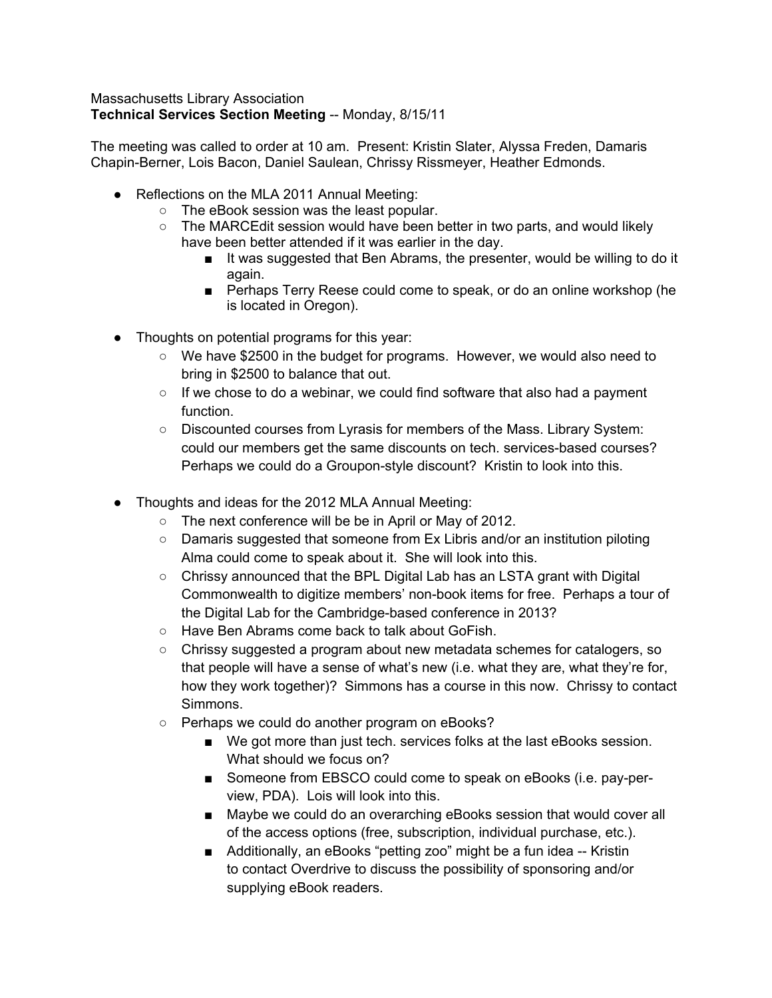## Massachusetts Library Association **Technical Services Section Meeting** -- Monday, 8/15/11

The meeting was called to order at 10 am. Present: Kristin Slater, Alyssa Freden, Damaris Chapin-Berner, Lois Bacon, Daniel Saulean, Chrissy Rissmeyer, Heather Edmonds.

- Reflections on the MLA 2011 Annual Meeting:
	- The eBook session was the least popular.
	- $\circ$  The MARCE dit session would have been better in two parts, and would likely have been better attended if it was earlier in the day.
		- It was suggested that Ben Abrams, the presenter, would be willing to do it again.
		- Perhaps Terry Reese could come to speak, or do an online workshop (he is located in Oregon).
- Thoughts on potential programs for this year:
	- $\circ$  We have \$2500 in the budget for programs. However, we would also need to bring in \$2500 to balance that out.
	- $\circ$  If we chose to do a webinar, we could find software that also had a payment function.
	- Discounted courses from Lyrasis for members of the Mass. Library System: could our members get the same discounts on tech. services-based courses? Perhaps we could do a Groupon-style discount? Kristin to look into this.
- Thoughts and ideas for the 2012 MLA Annual Meeting:
	- The next conference will be be in April or May of 2012.
	- Damaris suggested that someone from Ex Libris and/or an institution piloting Alma could come to speak about it. She will look into this.
	- Chrissy announced that the BPL Digital Lab has an LSTA grant with Digital Commonwealth to digitize members' non-book items for free. Perhaps a tour of the Digital Lab for the Cambridge-based conference in 2013?
	- Have Ben Abrams come back to talk about GoFish.
	- Chrissy suggested a program about new metadata schemes for catalogers, so that people will have a sense of what's new (i.e. what they are, what they're for, how they work together)? Simmons has a course in this now. Chrissy to contact Simmons.
	- Perhaps we could do another program on eBooks?
		- We got more than just tech. services folks at the last eBooks session. What should we focus on?
		- Someone from EBSCO could come to speak on eBooks (i.e. pay-perview, PDA). Lois will look into this.
		- Maybe we could do an overarching eBooks session that would cover all of the access options (free, subscription, individual purchase, etc.).
		- Additionally, an eBooks "petting zoo" might be a fun idea -- Kristin to contact Overdrive to discuss the possibility of sponsoring and/or supplying eBook readers.